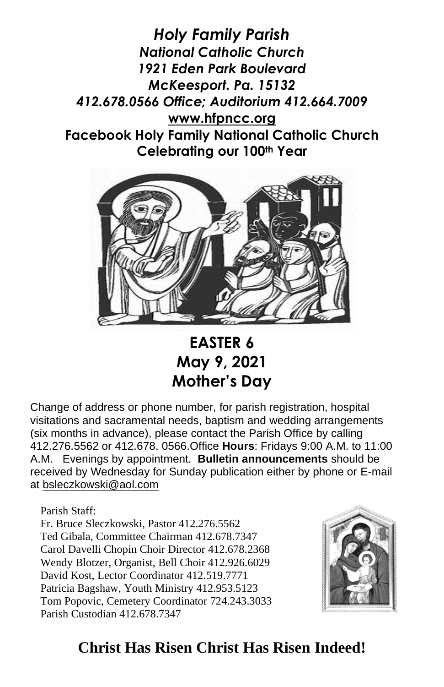*Holy Family Parish National Catholic Church 1921 Eden Park Boulevard McKeesport. Pa. 15132 412.678.0566 Office; Auditorium 412.664.7009* **[www.hfpncc.org](http://www.hfpncc.org/) Facebook Holy Family National Catholic Church Celebrating our 100th Year**



**EASTER 6 May 9, 2021 Mother's Day** 

Change of address or phone number, for parish registration, hospital visitations and sacramental needs, baptism and wedding arrangements (six months in advance), please contact the Parish Office by calling 412.276.5562 or 412.678. 0566.Office **Hours**: Fridays 9:00 A.M. to 11:00 A.M. Evenings by appointment. **Bulletin announcements** should be received by Wednesday for Sunday publication either by phone or E-mail at [bsleczkowski@aol.com](mailto:bsleczkowski@aol.com)

Parish Staff:

Fr. Bruce Sleczkowski, Pastor 412.276.5562 Ted Gibala, Committee Chairman 412.678.7347 Carol Davelli Chopin Choir Director 412.678.2368 Wendy Blotzer, Organist, Bell Choir 412.926.6029 David Kost, Lector Coordinator 412.519.7771 Patricia Bagshaw, Youth Ministry 412.953.5123 Tom Popovic, Cemetery Coordinator 724.243.3033 Parish Custodian 412.678.7347



## **Christ Has Risen Christ Has Risen Indeed!**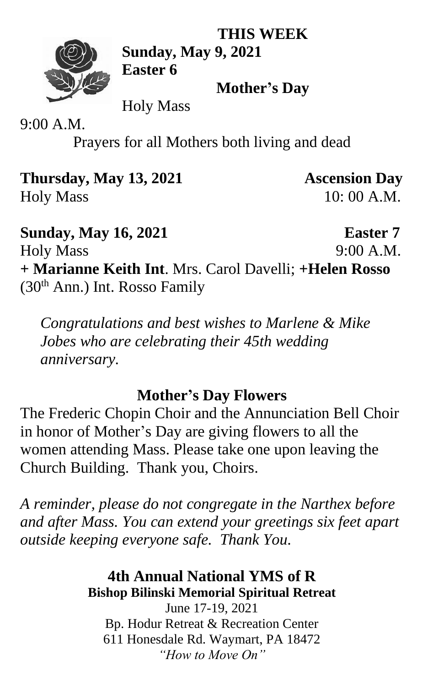**THIS WEEK**



**Sunday, May 9, 2021 Easter 6**

**Mother's Day**

Holy Mass

9:00 A.M.

Prayers for all Mothers both living and dead

**Thursday, May 13, 2021 Ascension Day** Holy Mass 10: 00 A.M.

**Sunday, May 16, 2021 Easter 7** Holy Mass 9:00 A.M. **+ Marianne Keith Int**. Mrs. Carol Davelli; **+Helen Rosso**  $(30<sup>th</sup> Ann.)$  Int. Rosso Family

*Congratulations and best wishes to Marlene & Mike Jobes who are celebrating their 45th wedding anniversary.* 

## **Mother's Day Flowers**

The Frederic Chopin Choir and the Annunciation Bell Choir in honor of Mother's Day are giving flowers to all the women attending Mass. Please take one upon leaving the Church Building. Thank you, Choirs.

*A reminder, please do not congregate in the Narthex before and after Mass. You can extend your greetings six feet apart outside keeping everyone safe. Thank You.*

### **4th Annual National YMS of R Bishop Bilinski Memorial Spiritual Retreat**

June 17-19, 2021 Bp. Hodur Retreat & Recreation Center 611 Honesdale Rd. Waymart, PA 18472 *"How to Move On"*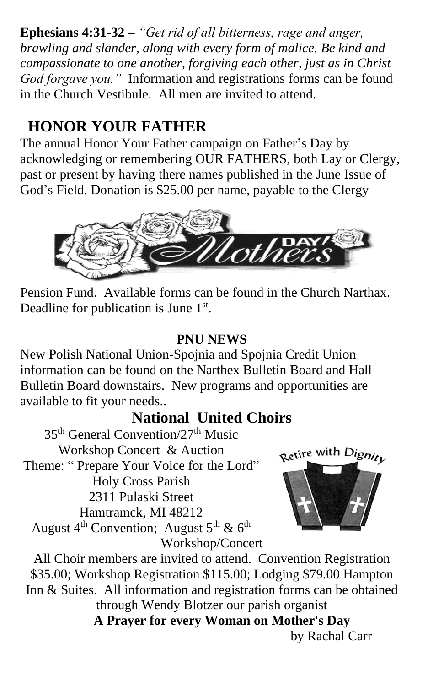**Ephesians 4:31-32 –** *"Get rid of all bitterness, rage and anger, brawling and slander, along with every form of malice. Be kind and compassionate to one another, forgiving each other, just as in Christ God forgave you."* Information and registrations forms can be found in the Church Vestibule. All men are invited to attend.

# **HONOR YOUR FATHER**

The annual Honor Your Father campaign on Father's Day by acknowledging or remembering OUR FATHERS, both Lay or Clergy, past or present by having there names published in the June Issue of God's Field. Donation is \$25.00 per name, payable to the Clergy



Pension Fund. Available forms can be found in the Church Narthax. Deadline for publication is June  $1<sup>st</sup>$ .

#### **PNU NEWS**

New Polish National Union-Spojnia and Spojnia Credit Union information can be found on the Narthex Bulletin Board and Hall Bulletin Board downstairs. New programs and opportunities are available to fit your needs..

## **National United Choirs**

35th General Convention/27th Music Workshop Concert & Auction Theme: " Prepare Your Voice for the Lord" Holy Cross Parish 2311 Pulaski Street Hamtramck, MI 48212 August  $4^{th}$  Convention; August  $5^{th}$  &  $6^{th}$ 



Workshop/Concert All Choir members are invited to attend. Convention Registration \$35.00; Workshop Registration \$115.00; Lodging \$79.00 Hampton Inn & Suites. All information and registration forms can be obtained through Wendy Blotzer our parish organist **A Prayer for every Woman on Mother's Day**

by Rachal Carr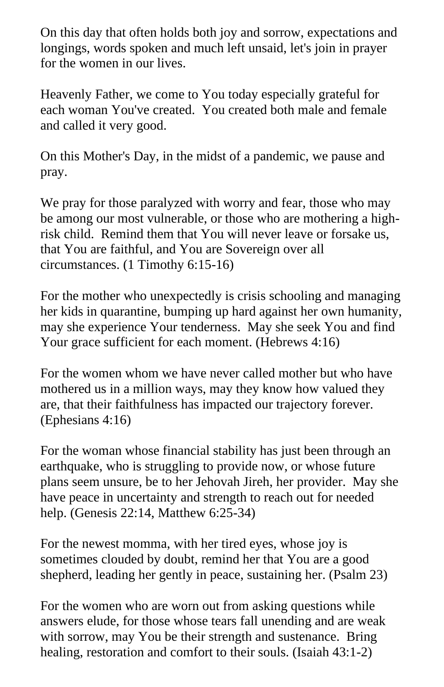On this day that often holds both joy and sorrow, expectations and longings, words spoken and much left unsaid, let's join in prayer for the women in our lives.

Heavenly Father, we come to You today especially grateful for each woman You've created. You created both male and female and called it very good.

On this Mother's Day, in the midst of a pandemic, we pause and pray.

We pray for those paralyzed with worry and fear, those who may be among our most vulnerable, or those who are mothering a highrisk child. Remind them that You will never leave or forsake us, that You are faithful, and You are Sovereign over all circumstances. (1 Timothy 6:15-16)

For the mother who unexpectedly is crisis schooling and managing her kids in quarantine, bumping up hard against her own humanity, may she experience Your tenderness. May she seek You and find Your grace sufficient for each moment. (Hebrews 4:16)

For the women whom we have never called mother but who have mothered us in a million ways, may they know how valued they are, that their faithfulness has impacted our trajectory forever. (Ephesians 4:16)

For the woman whose financial stability has just been through an earthquake, who is struggling to provide now, or whose future plans seem unsure, be to her Jehovah Jireh, her provider. May she have peace in uncertainty and strength to reach out for needed help. (Genesis 22:14, Matthew 6:25-34)

For the newest momma, with her tired eyes, whose joy is sometimes clouded by doubt, remind her that You are a good shepherd, leading her gently in peace, sustaining her. (Psalm 23)

For the women who are worn out from asking questions while answers elude, for those whose tears fall unending and are weak with sorrow, may You be their strength and sustenance. Bring healing, restoration and comfort to their souls. (Isaiah 43:1-2)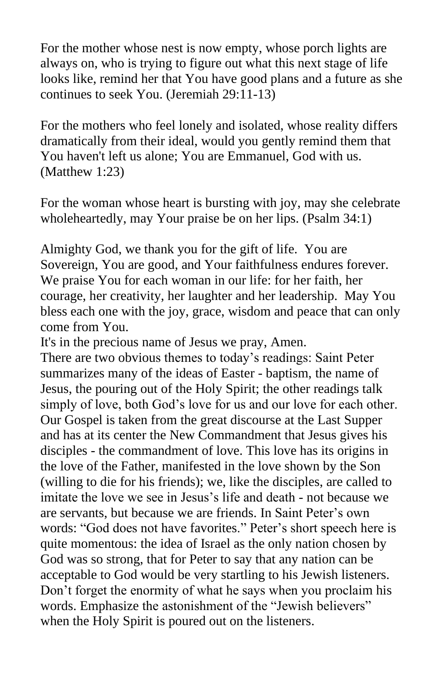For the mother whose nest is now empty, whose porch lights are always on, who is trying to figure out what this next stage of life looks like, remind her that You have good plans and a future as she continues to seek You. (Jeremiah 29:11-13)

For the mothers who feel lonely and isolated, whose reality differs dramatically from their ideal, would you gently remind them that You haven't left us alone; You are Emmanuel, God with us. (Matthew 1:23)

For the woman whose heart is bursting with joy, may she celebrate wholeheartedly, may Your praise be on her lips. (Psalm 34:1)

Almighty God, we thank you for the gift of life. You are Sovereign, You are good, and Your faithfulness endures forever. We praise You for each woman in our life: for her faith, her courage, her creativity, her laughter and her leadership. May You bless each one with the joy, grace, wisdom and peace that can only come from You.

It's in the precious name of Jesus we pray, Amen.

There are two obvious themes to today's readings: Saint Peter summarizes many of the ideas of Easter - baptism, the name of Jesus, the pouring out of the Holy Spirit; the other readings talk simply of love, both God's love for us and our love for each other. Our Gospel is taken from the great discourse at the Last Supper and has at its center the New Commandment that Jesus gives his disciples - the commandment of love. This love has its origins in the love of the Father, manifested in the love shown by the Son (willing to die for his friends); we, like the disciples, are called to imitate the love we see in Jesus's life and death - not because we are servants, but because we are friends. In Saint Peter's own words: "God does not have favorites." Peter's short speech here is quite momentous: the idea of Israel as the only nation chosen by God was so strong, that for Peter to say that any nation can be acceptable to God would be very startling to his Jewish listeners. Don't forget the enormity of what he says when you proclaim his words. Emphasize the astonishment of the "Jewish believers" when the Holy Spirit is poured out on the listeners.